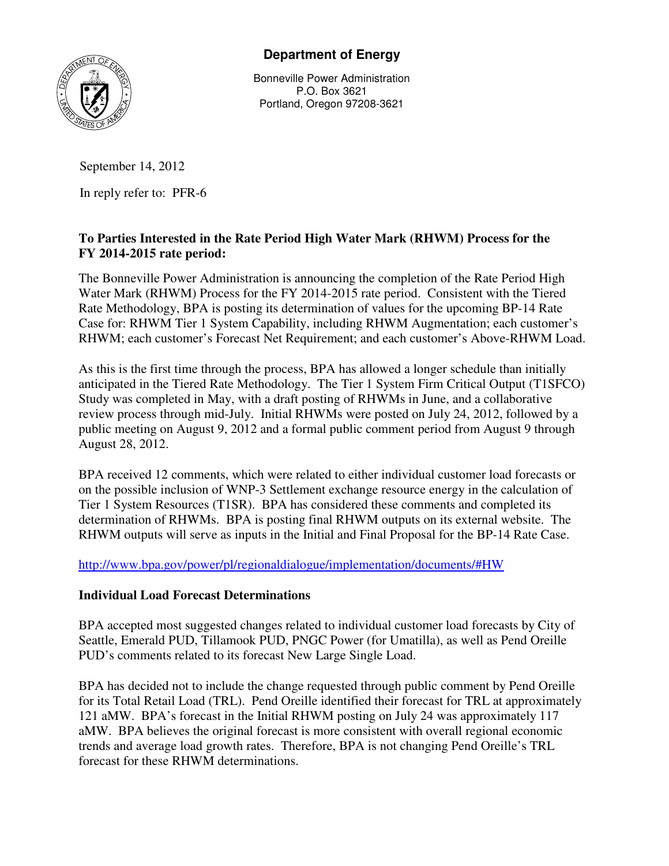

# **Department of Energy**

Bonneville Power Administration P.O. Box 3621 Portland, Oregon 97208-3621

## September 14, 2012

In reply refer to: PFR-6

### **To Parties Interested in the Rate Period High Water Mark (RHWM) Process for the FY 2014-2015 rate period:**

The Bonneville Power Administration is announcing the completion of the Rate Period High Water Mark (RHWM) Process for the FY 2014-2015 rate period. Consistent with the Tiered Rate Methodology, BPA is posting its determination of values for the upcoming BP-14 Rate Case for: RHWM Tier 1 System Capability, including RHWM Augmentation; each customer's RHWM; each customer's Forecast Net Requirement; and each customer's Above-RHWM Load.

As this is the first time through the process, BPA has allowed a longer schedule than initially anticipated in the Tiered Rate Methodology. The Tier 1 System Firm Critical Output (T1SFCO) Study was completed in May, with a draft posting of RHWMs in June, and a collaborative review process through mid-July. Initial RHWMs were posted on July 24, 2012, followed by a public meeting on August 9, 2012 and a formal public comment period from August 9 through August 28, 2012.

BPA received 12 comments, which were related to either individual customer load forecasts or on the possible inclusion of WNP-3 Settlement exchange resource energy in the calculation of Tier 1 System Resources (T1SR). BPA has considered these comments and completed its determination of RHWMs. BPA is posting final RHWM outputs on its external website. The RHWM outputs will serve as inputs in the Initial and Final Proposal for the BP-14 Rate Case.

http://www.bpa.gov/power/pl/regionaldialogue/implementation/documents/#HW

#### **Individual Load Forecast Determinations**

BPA accepted most suggested changes related to individual customer load forecasts by City of Seattle, Emerald PUD, Tillamook PUD, PNGC Power (for Umatilla), as well as Pend Oreille PUD's comments related to its forecast New Large Single Load.

BPA has decided not to include the change requested through public comment by Pend Oreille for its Total Retail Load (TRL). Pend Oreille identified their forecast for TRL at approximately 121 aMW. BPA's forecast in the Initial RHWM posting on July 24 was approximately 117 aMW. BPA believes the original forecast is more consistent with overall regional economic trends and average load growth rates. Therefore, BPA is not changing Pend Oreille's TRL forecast for these RHWM determinations.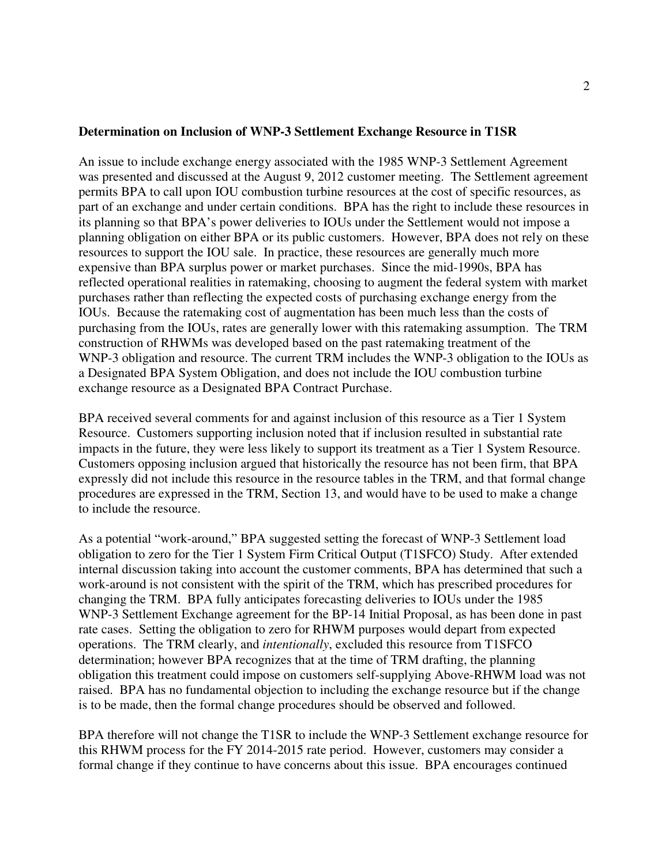#### **Determination on Inclusion of WNP-3 Settlement Exchange Resource in T1SR**

An issue to include exchange energy associated with the 1985 WNP-3 Settlement Agreement was presented and discussed at the August 9, 2012 customer meeting. The Settlement agreement permits BPA to call upon IOU combustion turbine resources at the cost of specific resources, as part of an exchange and under certain conditions. BPA has the right to include these resources in its planning so that BPA's power deliveries to IOUs under the Settlement would not impose a planning obligation on either BPA or its public customers. However, BPA does not rely on these resources to support the IOU sale. In practice, these resources are generally much more expensive than BPA surplus power or market purchases. Since the mid-1990s, BPA has reflected operational realities in ratemaking, choosing to augment the federal system with market purchases rather than reflecting the expected costs of purchasing exchange energy from the IOUs. Because the ratemaking cost of augmentation has been much less than the costs of purchasing from the IOUs, rates are generally lower with this ratemaking assumption. The TRM construction of RHWMs was developed based on the past ratemaking treatment of the WNP-3 obligation and resource. The current TRM includes the WNP-3 obligation to the IOUs as a Designated BPA System Obligation, and does not include the IOU combustion turbine exchange resource as a Designated BPA Contract Purchase.

BPA received several comments for and against inclusion of this resource as a Tier 1 System Resource. Customers supporting inclusion noted that if inclusion resulted in substantial rate impacts in the future, they were less likely to support its treatment as a Tier 1 System Resource. Customers opposing inclusion argued that historically the resource has not been firm, that BPA expressly did not include this resource in the resource tables in the TRM, and that formal change procedures are expressed in the TRM, Section 13, and would have to be used to make a change to include the resource.

As a potential "work-around," BPA suggested setting the forecast of WNP-3 Settlement load obligation to zero for the Tier 1 System Firm Critical Output (T1SFCO) Study. After extended internal discussion taking into account the customer comments, BPA has determined that such a work-around is not consistent with the spirit of the TRM, which has prescribed procedures for changing the TRM. BPA fully anticipates forecasting deliveries to IOUs under the 1985 WNP-3 Settlement Exchange agreement for the BP-14 Initial Proposal, as has been done in past rate cases. Setting the obligation to zero for RHWM purposes would depart from expected operations. The TRM clearly, and *intentionally*, excluded this resource from T1SFCO determination; however BPA recognizes that at the time of TRM drafting, the planning obligation this treatment could impose on customers self-supplying Above-RHWM load was not raised. BPA has no fundamental objection to including the exchange resource but if the change is to be made, then the formal change procedures should be observed and followed.

BPA therefore will not change the T1SR to include the WNP-3 Settlement exchange resource for this RHWM process for the FY 2014-2015 rate period. However, customers may consider a formal change if they continue to have concerns about this issue. BPA encourages continued